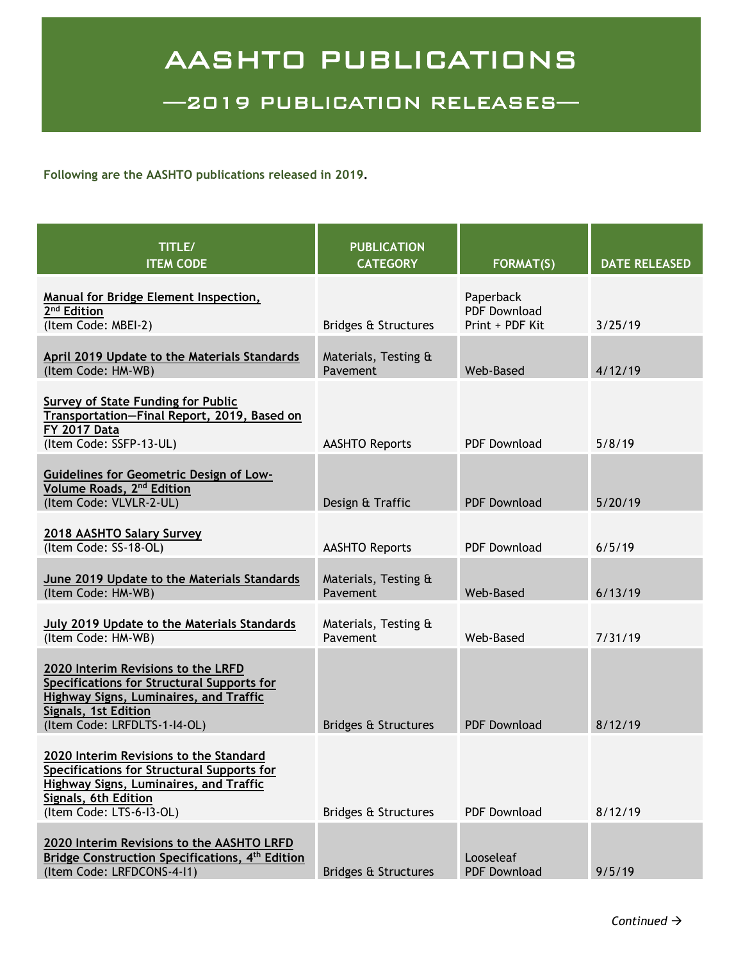## AASHTO PUBLICATIONS

—2019 PUBLICATION RELEASES—

**Following are the AASHTO publications released in 2019.**

| TITLE/<br><b>ITEM CODE</b>                                                                                                                                                                | <b>PUBLICATION</b><br><b>CATEGORY</b> | <b>FORMAT(S)</b>                                    | <b>DATE RELEASED</b> |
|-------------------------------------------------------------------------------------------------------------------------------------------------------------------------------------------|---------------------------------------|-----------------------------------------------------|----------------------|
| <b>Manual for Bridge Element Inspection,</b><br>2 <sup>nd</sup> Edition<br>(Item Code: MBEI-2)                                                                                            | Bridges & Structures                  | Paperback<br><b>PDF Download</b><br>Print + PDF Kit | 3/25/19              |
| <b>April 2019 Update to the Materials Standards</b><br>(Item Code: HM-WB)                                                                                                                 | Materials, Testing &<br>Pavement      | Web-Based                                           | 4/12/19              |
| Survey of State Funding for Public<br>Transportation-Final Report, 2019, Based on<br><b>FY 2017 Data</b><br>(Item Code: SSFP-13-UL)                                                       | <b>AASHTO Reports</b>                 | <b>PDF Download</b>                                 | 5/8/19               |
| <b>Guidelines for Geometric Design of Low-</b><br>Volume Roads, 2 <sup>nd</sup> Edition<br>(Item Code: VLVLR-2-UL)                                                                        | Design & Traffic                      | <b>PDF Download</b>                                 | 5/20/19              |
| 2018 AASHTO Salary Survey<br>(Item Code: SS-18-OL)                                                                                                                                        | <b>AASHTO Reports</b>                 | <b>PDF Download</b>                                 | 6/5/19               |
| June 2019 Update to the Materials Standards<br>(Item Code: HM-WB)                                                                                                                         | Materials, Testing &<br>Pavement      | Web-Based                                           | 6/13/19              |
| July 2019 Update to the Materials Standards<br>(Item Code: HM-WB)                                                                                                                         | Materials, Testing &<br>Pavement      | Web-Based                                           | 7/31/19              |
| 2020 Interim Revisions to the LRFD<br>Specifications for Structural Supports for<br><b>Highway Signs, Luminaires, and Traffic</b><br>Signals, 1st Edition<br>(Item Code: LRFDLTS-1-I4-OL) | <b>Bridges &amp; Structures</b>       | <b>PDF Download</b>                                 | 8/12/19              |
| 2020 Interim Revisions to the Standard<br>Specifications for Structural Supports for<br><b>Highway Signs, Luminaires, and Traffic</b><br>Signals, 6th Edition<br>(Item Code: LTS-6-I3-OL) | Bridges & Structures                  | <b>PDF Download</b>                                 | 8/12/19              |
| 2020 Interim Revisions to the AASHTO LRFD<br>Bridge Construction Specifications, 4 <sup>th</sup> Edition<br>(Item Code: LRFDCONS-4-11)                                                    | Bridges & Structures                  | Looseleaf<br><b>PDF Download</b>                    | 9/5/19               |